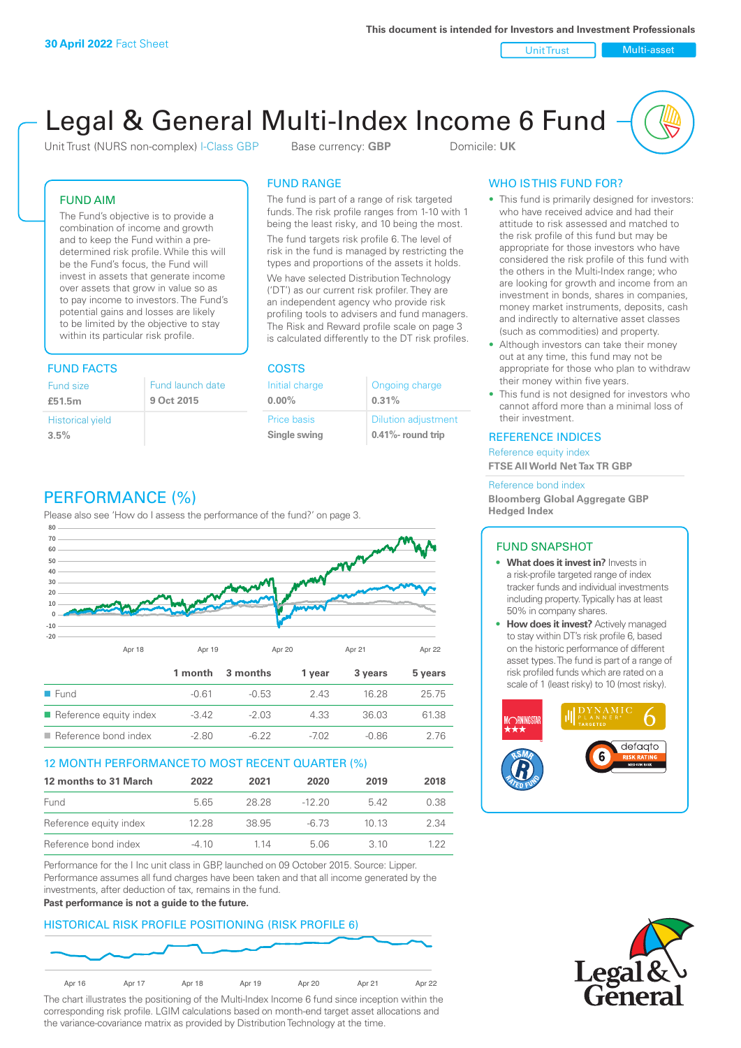Unit Trust Nulti-asset

# Legal & General Multi-Index Income 6 Fund

Unit Trust (NURS non-complex) I-Class GBP Base currency: **GBP** Domicile: UK

# FUND AIM

The Fund's objective is to provide a combination of income and growth and to keep the Fund within a predetermined risk profile. While this will be the Fund's focus, the Fund will invest in assets that generate income over assets that grow in value so as to pay income to investors. The Fund's potential gains and losses are likely to be limited by the objective to stay within its particular risk profile.

# FUND FACTS COSTS

| Fund size<br>£51.5m     | Fund launch date<br>9 Oct 2015 |
|-------------------------|--------------------------------|
| <b>Historical yield</b> |                                |
| 3.5%                    |                                |

# FUND RANGE

The fund is part of a range of risk targeted funds. The risk profile ranges from 1-10 with 1 being the least risky, and 10 being the most.

The fund targets risk profile 6. The level of risk in the fund is managed by restricting the types and proportions of the assets it holds. We have selected Distribution Technology ('DT') as our current risk profiler. They are an independent agency who provide risk profiling tools to advisers and fund managers. The Risk and Reward profile scale on page 3 is calculated differently to the DT risk profiles.

**0.00%**

| Initial charge | Ongoing charge             |
|----------------|----------------------------|
| $0.00\%$       | 0.31%                      |
| Price basis    | <b>Dilution adjustment</b> |
| Single swing   | 0.41%- round trip          |

# WHO IS THIS FUND FOR?

- This fund is primarily designed for investors: who have received advice and had their attitude to risk assessed and matched to the risk profile of this fund but may be appropriate for those investors who have considered the risk profile of this fund with the others in the Multi-Index range; who are looking for growth and income from an investment in bonds, shares in companies, money market instruments, deposits, cash and indirectly to alternative asset classes (such as commodities) and property.
- Although investors can take their money out at any time, this fund may not be appropriate for those who plan to withdraw their money within five years.
- This fund is not designed for investors who cannot afford more than a minimal loss of their investment.

# REFERENCE INDICES

Reference equity index **FTSE All World Net Tax TR GBP**

#### Reference bond index

**Bloomberg Global Aggregate GBP Hedged Index**

# FUND SNAPSHOT

- **• What does it invest in?** Invests in a risk-profile targeted range of index tracker funds and individual investments including property. Typically has at least 50% in company shares.
- **• How does it invest?** Actively managed to stay within DT's risk profile 6, based on the historic performance of different asset types. The fund is part of a range of risk profiled funds which are rated on a scale of 1 (least risky) to 10 (most risky).





# PERFORMANCE (%)

Please also see 'How do I assess the performance of the fund?' on page 3.



# 12 MONTH PERFORMANCE TO MOST RECENT QUARTER (%)

| 12 months to 31 March  | 2022    | 2021  | 2020     | 2019  | 2018 |
|------------------------|---------|-------|----------|-------|------|
| Fund                   | 565     | 28.28 | $-12.20$ | 542   | 0.38 |
| Reference equity index | 12.28   | 38.95 | -6.73    | 10 13 | 2.34 |
| Reference bond index   | $-4.10$ | 1 14  | 5.06     | 3. IO | 1 22 |

Performance for the I Inc unit class in GBP, launched on 09 October 2015. Source: Lipper. Performance assumes all fund charges have been taken and that all income generated by the investments, after deduction of tax, remains in the fund.

#### **Past performance is not a guide to the future.**

# HISTORICAL RISK PROFILE POSITIONING (RISK PROFILE 6)



The chart illustrates the positioning of the Multi-Index Income 6 fund since inception within the corresponding risk profile. LGIM calculations based on month-end target asset allocations and the variance-covariance matrix as provided by Distribution Technology at the time.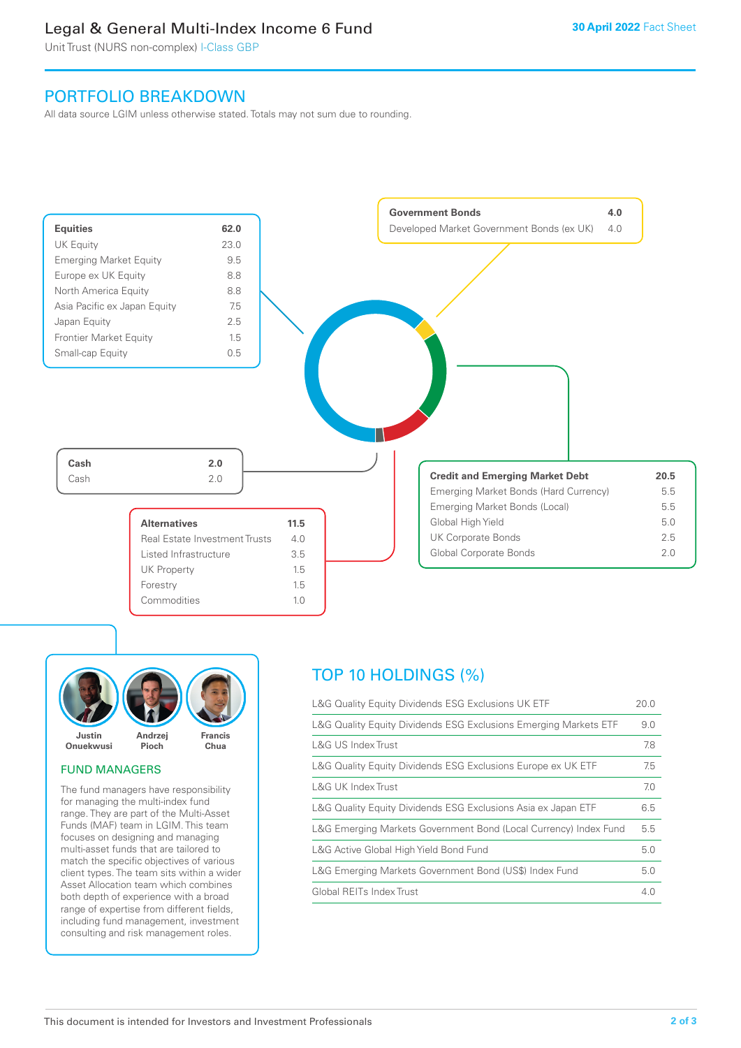# Legal & General Multi-Index Income 6 Fund

Unit Trust (NURS non-complex) I-Class GBP

# PORTFOLIO BREAKDOWN

All data source LGIM unless otherwise stated. Totals may not sum due to rounding.





# FUND MANAGERS

The fund managers have responsibility for managing the multi-index fund range. They are part of the Multi-Asset Funds (MAF) team in LGIM. This team focuses on designing and managing multi-asset funds that are tailored to match the specific objectives of various client types. The team sits within a wider Asset Allocation team which combines both depth of experience with a broad range of expertise from different fields, including fund management, investment consulting and risk management roles.

# TOP 10 HOLDINGS (%)

| L&G Quality Equity Dividends ESG Exclusions UK ETF               | 20.0 |
|------------------------------------------------------------------|------|
| L&G Quality Equity Dividends ESG Exclusions Emerging Markets ETF | 9.0  |
| L&G US Index Trust                                               | 7.8  |
| L&G Quality Equity Dividends ESG Exclusions Europe ex UK ETF     | 7.5  |
| L&G UK Index Trust                                               | 7.0  |
| L&G Quality Equity Dividends ESG Exclusions Asia ex Japan ETF    | 6.5  |
| L&G Emerging Markets Government Bond (Local Currency) Index Fund | 5.5  |
| L&G Active Global High Yield Bond Fund                           | 5.0  |
| L&G Emerging Markets Government Bond (US\$) Index Fund           | 5.0  |
| Global REITs Index Trust                                         | 4.0  |